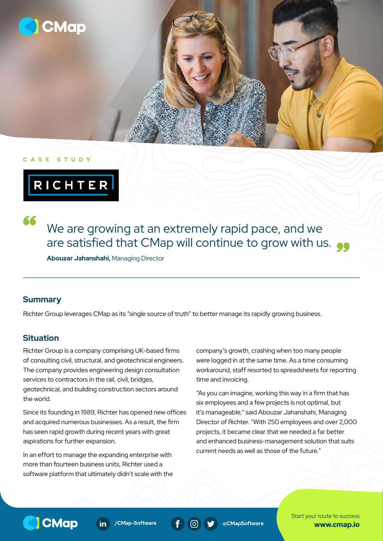

#### **CASE STUDY**

RICHTER

We are growing at an extremely rapid pace, and we are satisfied that CMap will continue to grow with us.  $\bullet\bullet$ 

**Abouzar Jahanshahi,** Managing Director

#### **Summary**

66

Richter Group leverages CMap as its "single source of truth" to better manage its rapidly growing business.

## **Situation**

Richter Group is a company comprising UK-based firms of consulting civil, structural, and geotechnical engineers. The company provides engineering design consultation services to contractors in the rail, civil, bridges, geotechnical, and building construction sectors around the world.

Since its founding in 1989, Richter has opened new offices and acquired numerous businesses. As a result, the firm has seen rapid growth during recent years with great aspirations for further expansion.

In an effort to manage the expanding enterprise with more than fourteen business units, Richter used a software platform that ultimately didn't scale with the company's growth, crashing when too many people were logged in at the same time. As a time consuming workaround, staff resorted to spreadsheets for reporting time and invoicing.

"As you can imagine, working this way in a firm that has six employees and a few projects is not optimal, but it's manageable," said Abouzar Jahanshahi, Managing Director of Richter. "With 250 employees and over 2,000 projects, it became clear that we needed a far better and enhanced business-management solution that suits current needs as well as those of the future."



 $\mathsf{in}$ 



Start your route to success www.cmap.io